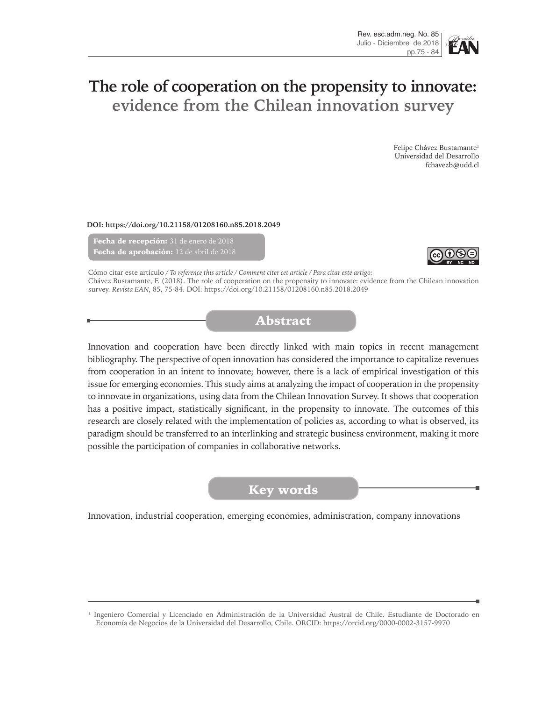# **The role of cooperation on the propensity to innovate: evidence from the Chilean innovation survey**

Felipe Chávez Bustamante<sup>1</sup> Universidad del Desarrollo fchavezb@udd.cl

**DOI: https://doi.org/10.21158/01208160.n85.2018.2049**

Fecha de recepción: 31 de enero de 2018 Fecha de aprobación: 12 de abril de 2018



Cómo citar este artículo */ To reference this article / Comment citer cet article / Para citar este artigo:* Chávez Bustamante, F. (2018). The role of cooperation on the propensity to innovate: evidence from the Chilean innovation survey. *Revista EAN*, 85, 75-84. DOI: https://doi.org/10.21158/01208160.n85.2018.2049

## Abstract

Innovation and cooperation have been directly linked with main topics in recent management bibliography. The perspective of open innovation has considered the importance to capitalize revenues from cooperation in an intent to innovate; however, there is a lack of empirical investigation of this issue for emerging economies. This study aims at analyzing the impact of cooperation in the propensity to innovate in organizations, using data from the Chilean Innovation Survey. It shows that cooperation has a positive impact, statistically significant, in the propensity to innovate. The outcomes of this research are closely related with the implementation of policies as, according to what is observed, its paradigm should be transferred to an interlinking and strategic business environment, making it more possible the participation of companies in collaborative networks.

### Key words

Innovation, industrial cooperation, emerging economies, administration, company innovations

<sup>1</sup> Ingeniero Comercial y Licenciado en Administración de la Universidad Austral de Chile. Estudiante de Doctorado en Economía de Negocios de la Universidad del Desarrollo, Chile. ORCID: https://orcid.org/0000-0002-3157-9970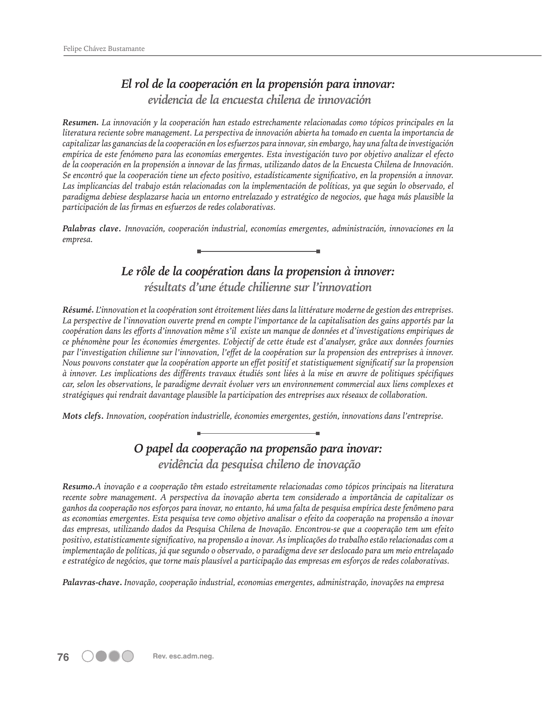## *El rol de la cooperación en la propensión para innovar: evidencia de la encuesta chilena de innovación*

*Resumen. La innovación y la cooperación han estado estrechamente relacionadas como tópicos principales en la literatura reciente sobre management. La perspectiva de innovación abierta ha tomado en cuenta la importancia de capitalizar las ganancias de la cooperación en los esfuerzos para innovar, sin embargo, hay una falta de investigación empírica de este fenómeno para las economías emergentes. Esta investigación tuvo por objetivo analizar el efecto de la cooperación en la propensión a innovar de las firmas, utilizando datos de la Encuesta Chilena de Innovación. Se encontró que la cooperación tiene un efecto positivo, estadísticamente significativo, en la propensión a innovar. Las implicancias del trabajo están relacionadas con la implementación de políticas, ya que según lo observado, el paradigma debiese desplazarse hacia un entorno entrelazado y estratégico de negocios, que haga más plausible la participación de las firmas en esfuerzos de redes colaborativas.* 

*Palabras clave***.** *Innovación, cooperación industrial, economías emergentes, administración, innovaciones en la empresa.*

## *Le rôle de la coopération dans la propension à innover:*

*résultats d'une étude chilienne sur l'innovation*

*Résumé. L'innovation et la coopération sont étroitement liées dans la littérature moderne de gestion des entreprises. La perspective de l'innovation ouverte prend en compte l'importance de la capitalisation des gains apportés par la coopération dans les efforts d'innovation même s'il existe un manque de données et d'investigations empiriques de ce phénomène pour les économies émergentes. L'objectif de cette étude est d'analyser, grâce aux données fournies par l'investigation chilienne sur l'innovation, l'effet de la coopération sur la propension des entreprises à innover. Nous pouvons constater que la coopération apporte un effet positif et statistiquement significatif sur la propension à innover. Les implications des différents travaux étudiés sont liées à la mise en œuvre de politiques spécifiques car, selon les observations, le paradigme devrait évoluer vers un environnement commercial aux liens complexes et stratégiques qui rendrait davantage plausible la participation des entreprises aux réseaux de collaboration.*

*Mots clefs***.** *Innovation, coopération industrielle, économies emergentes, gestión, innovations dans l'entreprise.*

## *O papel da cooperação na propensão para inovar:*

 *evidência da pesquisa chileno de inovação*

*Resumo.A inovação e a cooperação têm estado estreitamente relacionadas como tópicos principais na literatura recente sobre management. A perspectiva da inovação aberta tem considerado a importância de capitalizar os ganhos da cooperação nos esforços para inovar, no entanto, há uma falta de pesquisa empírica deste fenômeno para as economias emergentes. Esta pesquisa teve como objetivo analisar o efeito da cooperação na propensão a inovar das empresas, utilizando dados da Pesquisa Chilena de Inovação. Encontrou-se que a cooperação tem um efeito positivo, estatisticamente significativo, na propensão a inovar. As implicações do trabalho estão relacionadas com a implementação de políticas, já que segundo o observado, o paradigma deve ser deslocado para um meio entrelaçado e estratégico de negócios, que torne mais plausível a participação das empresas em esforços de redes colaborativas.*

*Palavras-chave***.** *Inovação, cooperação industrial, economias emergentes, administração, inovações na empresa*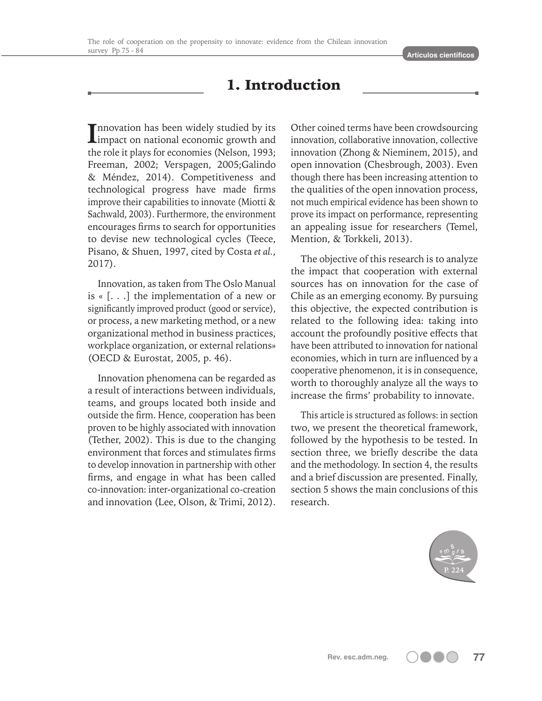## 1. Introduction

**I** Impact on national economic growth and<br>
impact on national economic growth and nnovation has been widely studied by its the role it plays for economies (Nelson, 1993; Freeman, 2002; Verspagen, 2005;Galindo & Méndez, 2014). Competitiveness and technological progress have made firms improve their capabilities to innovate (Miotti & Sachwald, 2003). Furthermore, the environment encourages firms to search for opportunities to devise new technological cycles (Teece, Pisano, & Shuen, 1997, cited by Costa *et al.*, 2017).

Innovation, as taken from The Oslo Manual is « [. . .] the implementation of a new or significantly improved product (good or service), or process, a new marketing method, or a new organizational method in business practices, workplace organization, or external relations» (OECD & Eurostat, 2005, p. 46).

Innovation phenomena can be regarded as a result of interactions between individuals, teams, and groups located both inside and outside the firm. Hence, cooperation has been proven to be highly associated with innovation (Tether, 2002). This is due to the changing environment that forces and stimulates firms to develop innovation in partnership with other firms, and engage in what has been called co-innovation: inter-organizational co-creation and innovation (Lee, Olson, & Trimi, 2012).

Other coined terms have been crowdsourcing innovation, collaborative innovation, collective innovation (Zhong & Nieminem, 2015), and open innovation (Chesbrough, 2003). Even though there has been increasing attention to the qualities of the open innovation process, not much empirical evidence has been shown to prove its impact on performance, representing an appealing issue for researchers (Temel, Mention, & Torkkeli, 2013).

The objective of this research is to analyze the impact that cooperation with external sources has on innovation for the case of Chile as an emerging economy. By pursuing this objective, the expected contribution is related to the following idea: taking into account the profoundly positive effects that have been attributed to innovation for national economies, which in turn are influenced by a cooperative phenomenon, it is in consequence, worth to thoroughly analyze all the ways to increase the firms' probability to innovate.

This article is structured as follows: in section two, we present the theoretical framework, followed by the hypothesis to be tested. In section three, we briefly describe the data and the methodology. In section 4, the results and a brief discussion are presented. Finally, section 5 shows the main conclusions of this research.

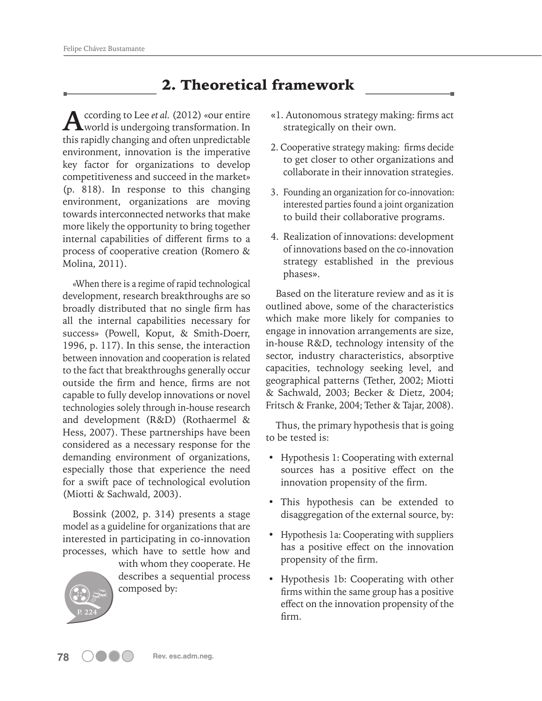## 2. Theoretical framework

According to Lee *et al.* (2012) «our entire<br>world is undergoing transformation. In this rapidly changing and often unpredictable environment, innovation is the imperative key factor for organizations to develop competitiveness and succeed in the market» (p. 818). In response to this changing environment, organizations are moving towards interconnected networks that make more likely the opportunity to bring together internal capabilities of different firms to a process of cooperative creation (Romero & Molina, 2011).

«When there is a regime of rapid technological development, research breakthroughs are so broadly distributed that no single firm has all the internal capabilities necessary for success» (Powell, Koput, & Smith-Doerr, 1996, p. 117). In this sense, the interaction between innovation and cooperation is related to the fact that breakthroughs generally occur outside the firm and hence, firms are not capable to fully develop innovations or novel technologies solely through in-house research and development (R&D) (Rothaermel & Hess, 2007). These partnerships have been considered as a necessary response for the demanding environment of organizations, especially those that experience the need for a swift pace of technological evolution (Miotti & Sachwald, 2003).

Bossink (2002, p. 314) presents a stage model as a guideline for organizations that are interested in participating in co-innovation processes, which have to settle how and



with whom they cooperate. He describes a sequential process composed by:

- «1. Autonomous strategy making: firms act strategically on their own.
- 2. Cooperative strategy making: firms decide to get closer to other organizations and collaborate in their innovation strategies.
- 3. Founding an organization for co-innovation: interested parties found a joint organization to build their collaborative programs.
- 4. Realization of innovations: development of innovations based on the co-innovation strategy established in the previous phases».

Based on the literature review and as it is outlined above, some of the characteristics which make more likely for companies to engage in innovation arrangements are size, in-house R&D, technology intensity of the sector, industry characteristics, absorptive capacities, technology seeking level, and geographical patterns (Tether, 2002; Miotti & Sachwald, 2003; Becker & Dietz, 2004; Fritsch & Franke, 2004; Tether & Tajar, 2008).

Thus, the primary hypothesis that is going to be tested is:

- Hypothesis 1: Cooperating with external sources has a positive effect on the innovation propensity of the firm.
- This hypothesis can be extended to disaggregation of the external source, by:
- Hypothesis 1a: Cooperating with suppliers has a positive effect on the innovation propensity of the firm.
- Hypothesis 1b: Cooperating with other firms within the same group has a positive effect on the innovation propensity of the firm.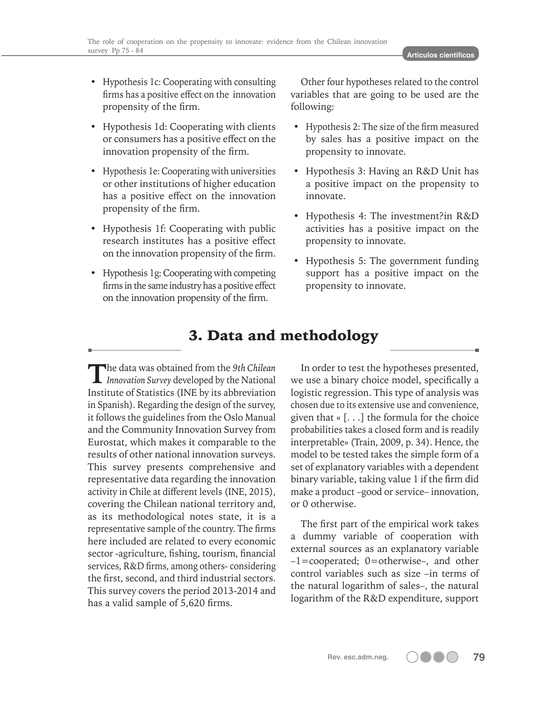- Hypothesis 1c: Cooperating with consulting firms has a positive effect on the innovation propensity of the firm.
- Hypothesis 1d: Cooperating with clients or consumers has a positive effect on the innovation propensity of the firm.
- Hypothesis 1e: Cooperating with universities or other institutions of higher education has a positive effect on the innovation propensity of the firm.
- Hypothesis 1f: Cooperating with public research institutes has a positive effect on the innovation propensity of the firm.
- Hypothesis 1g: Cooperating with competing firms in the same industry has a positive effect on the innovation propensity of the firm.

Other four hypotheses related to the control variables that are going to be used are the following:

- Hypothesis 2: The size of the firm measured by sales has a positive impact on the propensity to innovate.
- Hypothesis 3: Having an R&D Unit has a positive impact on the propensity to innovate.
- Hypothesis 4: The investment?in R&D activities has a positive impact on the propensity to innovate.
- Hypothesis 5: The government funding support has a positive impact on the propensity to innovate.

## 3. Data and methodology

**T**he data was obtained from the *9th Chilean Innovation Survey* developed by the National Institute of Statistics (INE by its abbreviation in Spanish). Regarding the design of the survey, it follows the guidelines from the Oslo Manual and the Community Innovation Survey from Eurostat, which makes it comparable to the results of other national innovation surveys. This survey presents comprehensive and representative data regarding the innovation activity in Chile at different levels (INE, 2015), covering the Chilean national territory and, as its methodological notes state, it is a representative sample of the country. The firms here included are related to every economic sector -agriculture, fishing, tourism, financial services, R&D firms, among others- considering the first, second, and third industrial sectors. This survey covers the period 2013-2014 and has a valid sample of 5,620 firms.

In order to test the hypotheses presented, we use a binary choice model, specifically a logistic regression. This type of analysis was chosen due to its extensive use and convenience, given that  $\kappa$  [ $\dots$ ] the formula for the choice probabilities takes a closed form and is readily interpretable» (Train, 2009, p. 34). Hence, the model to be tested takes the simple form of a set of explanatory variables with a dependent binary variable, taking value 1 if the firm did make a product –good or service– innovation, or 0 otherwise.

The first part of the empirical work takes a dummy variable of cooperation with external sources as an explanatory variable –1=cooperated; 0=otherwise–, and other control variables such as size –in terms of the natural logarithm of sales–, the natural logarithm of the R&D expenditure, support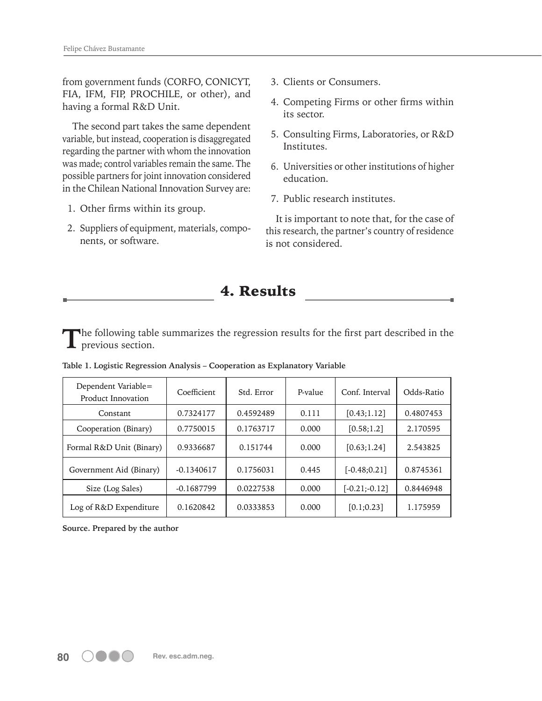from government funds (CORFO, CONICYT, FIA, IFM, FIP, PROCHILE, or other), and having a formal R&D Unit.

The second part takes the same dependent variable, but instead, cooperation is disaggregated regarding the partner with whom the innovation was made; control variables remain the same. The possible partners for joint innovation considered in the Chilean National Innovation Survey are:

- 1. Other firms within its group.
- 2. Suppliers of equipment, materials, components, or software.
- 3. Clients or Consumers.
- 4. Competing Firms or other firms within its sector.
- 5. Consulting Firms, Laboratories, or R&D Institutes.
- 6. Universities or other institutions of higher education.
- 7. Public research institutes.

It is important to note that, for the case of this research, the partner's country of residence is not considered.

### 4. Results

**T**he following table summarizes the regression results for the first part described in the previous section.

| Dependent Variable=<br>Product Innovation | Coefficient  | Std. Error | P-value | Conf. Interval   | Odds-Ratio |
|-------------------------------------------|--------------|------------|---------|------------------|------------|
| Constant                                  | 0.7324177    | 0.4592489  | 0.111   | [0.43;1.12]      | 0.4807453  |
| Cooperation (Binary)                      | 0.7750015    | 0.1763717  | 0.000   | [0.58;1.2]       | 2.170595   |
| Formal R&D Unit (Binary)                  | 0.9336687    | 0.151744   | 0.000   | [0.63;1.24]      | 2.543825   |
| Government Aid (Binary)                   | $-0.1340617$ | 0.1756031  | 0.445   | $[-0.48:0.21]$   | 0.8745361  |
| Size (Log Sales)                          | $-0.1687799$ | 0.0227538  | 0.000   | $[-0.21; -0.12]$ | 0.8446948  |
| Log of R&D Expenditure                    | 0.1620842    | 0.0333853  | 0.000   | [0.1; 0.23]      | 1.175959   |

**Table 1. Logistic Regression Analysis – Cooperation as Explanatory Variable**

**Source. Prepared by the author**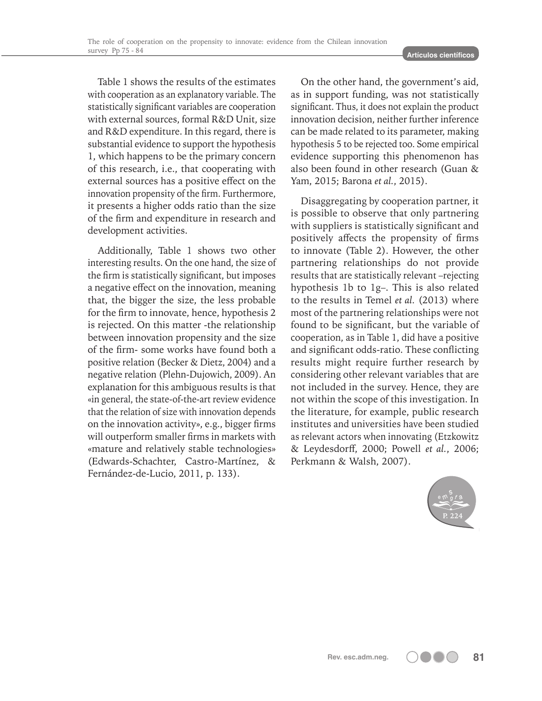Table 1 shows the results of the estimates with cooperation as an explanatory variable. The statistically significant variables are cooperation with external sources, formal R&D Unit, size and R&D expenditure. In this regard, there is substantial evidence to support the hypothesis 1, which happens to be the primary concern of this research, i.e., that cooperating with external sources has a positive effect on the innovation propensity of the firm. Furthermore, it presents a higher odds ratio than the size of the firm and expenditure in research and development activities.

Additionally, Table 1 shows two other interesting results. On the one hand, the size of the firm is statistically significant, but imposes a negative effect on the innovation, meaning that, the bigger the size, the less probable for the firm to innovate, hence, hypothesis 2 is rejected. On this matter -the relationship between innovation propensity and the size of the firm- some works have found both a positive relation (Becker & Dietz, 2004) and a negative relation (Plehn-Dujowich, 2009). An explanation for this ambiguous results is that «in general, the state-of-the-art review evidence that the relation of size with innovation depends on the innovation activity», e.g., bigger firms will outperform smaller firms in markets with «mature and relatively stable technologies» (Edwards-Schachter, Castro-Martínez, & Fernández-de-Lucio, 2011, p. 133).

On the other hand, the government's aid, as in support funding, was not statistically significant. Thus, it does not explain the product innovation decision, neither further inference can be made related to its parameter, making hypothesis 5 to be rejected too. Some empirical evidence supporting this phenomenon has also been found in other research (Guan & Yam, 2015; Barona *et al.*, 2015).

Disaggregating by cooperation partner, it is possible to observe that only partnering with suppliers is statistically significant and positively affects the propensity of firms to innovate (Table 2). However, the other partnering relationships do not provide results that are statistically relevant –rejecting hypothesis 1b to 1g–. This is also related to the results in Temel *et al.* (2013) where most of the partnering relationships were not found to be significant, but the variable of cooperation, as in Table 1, did have a positive and significant odds-ratio. These conflicting results might require further research by considering other relevant variables that are not included in the survey. Hence, they are not within the scope of this investigation. In the literature, for example, public research institutes and universities have been studied as relevant actors when innovating (Etzkowitz & Leydesdorff, 2000; Powell *et al.*, 2006; Perkmann & Walsh, 2007).

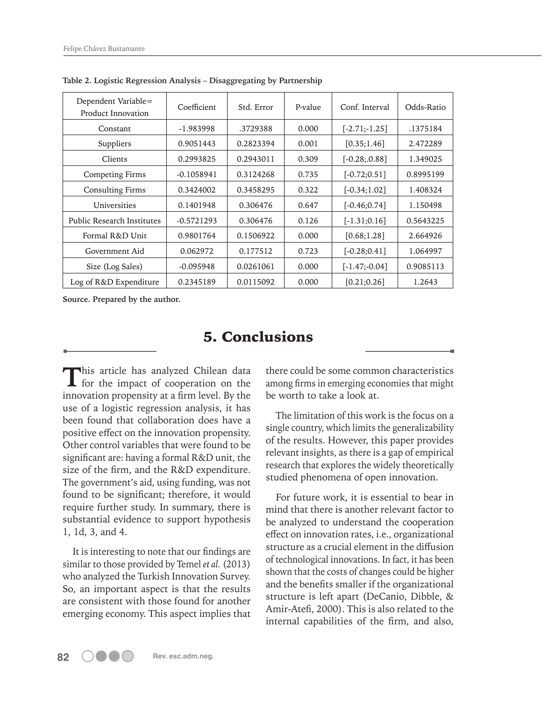| Dependent Variable=<br>Product Innovation | Coefficient  | Std. Error | P-value | Conf. Interval   | Odds-Ratio |
|-------------------------------------------|--------------|------------|---------|------------------|------------|
| Constant                                  | -1.983998    | .3729388   | 0.000   | $[-2.71; -1.25]$ | .1375184   |
| Suppliers                                 | 0.9051443    | 0.2823394  | 0.001   | [0.35;1.46]      | 2.472289   |
| Clients                                   | 0.2993825    | 0.2943011  | 0.309   | $[-0.28; 0.88]$  | 1.349025   |
| Competing Firms                           | $-0.1058941$ | 0.3124268  | 0.735   | $[-0.72:0.51]$   | 0.8995199  |
| <b>Consulting Firms</b>                   | 0.3424002    | 0.3458295  | 0.322   | $[-0.34;1.02]$   | 1.408324   |
| Universities                              | 0.1401948    | 0.306476   | 0.647   | $[-0.46; 0.74]$  | 1.150498   |
| Public Research Institutes                | $-0.5721293$ | 0.306476   | 0.126   | $[-1.31; 0.16]$  | 0.5643225  |
| Formal R&D Unit                           | 0.9801764    | 0.1506922  | 0.000   | [0.68;1.28]      | 2.664926   |
| Government Aid                            | 0.062972     | 0.177512   | 0.723   | $[-0.28:0.41]$   | 1.064997   |
| Size (Log Sales)                          | $-0.095948$  | 0.0261061  | 0.000   | $[-1.47; -0.04]$ | 0.9085113  |
| Log of R&D Expenditure                    | 0.2345189    | 0.0115092  | 0.000   | [0.21; 0.26]     | 1.2643     |

**Table 2. Logistic Regression Analysis – Disaggregating by Partnership**

**Source. Prepared by the author.**

## 5. Conclusions

This article has analyzed Chilean data for the impact of cooperation on the innovation propensity at a firm level. By the use of a logistic regression analysis, it has been found that collaboration does have a positive effect on the innovation propensity. Other control variables that were found to be significant are: having a formal R&D unit, the size of the firm, and the R&D expenditure. The government's aid, using funding, was not found to be significant; therefore, it would require further study. In summary, there is substantial evidence to support hypothesis 1, 1d, 3, and 4.

It is interesting to note that our findings are similar to those provided by Temel *et al.* (2013) who analyzed the Turkish Innovation Survey. So, an important aspect is that the results are consistent with those found for another emerging economy. This aspect implies that there could be some common characteristics among firms in emerging economies that might be worth to take a look at.

The limitation of this work is the focus on a single country, which limits the generalizability of the results. However, this paper provides relevant insights, as there is a gap of empirical research that explores the widely theoretically studied phenomena of open innovation.

For future work, it is essential to bear in mind that there is another relevant factor to be analyzed to understand the cooperation effect on innovation rates, i.e., organizational structure as a crucial element in the diffusion of technological innovations. In fact, it has been shown that the costs of changes could be higher and the benefits smaller if the organizational structure is left apart (DeCanio, Dibble, & Amir-Atefi, 2000). This is also related to the internal capabilities of the firm, and also,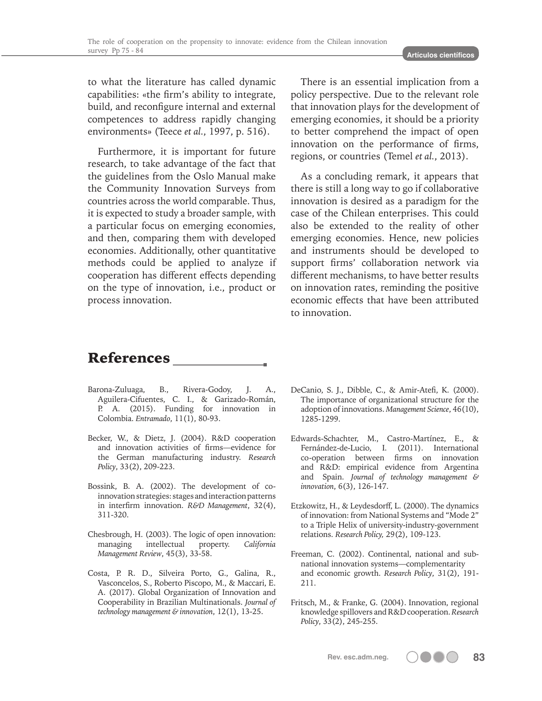to what the literature has called dynamic capabilities: «the firm's ability to integrate, build, and reconfigure internal and external competences to address rapidly changing environments» (Teece *et al.*, 1997, p. 516).

Furthermore, it is important for future research, to take advantage of the fact that the guidelines from the Oslo Manual make the Community Innovation Surveys from countries across the world comparable. Thus, it is expected to study a broader sample, with a particular focus on emerging economies, and then, comparing them with developed economies. Additionally, other quantitative methods could be applied to analyze if cooperation has different effects depending on the type of innovation, i.e., product or process innovation.

There is an essential implication from a policy perspective. Due to the relevant role that innovation plays for the development of emerging economies, it should be a priority to better comprehend the impact of open innovation on the performance of firms, regions, or countries (Temel *et al.*, 2013).

As a concluding remark, it appears that there is still a long way to go if collaborative innovation is desired as a paradigm for the case of the Chilean enterprises. This could also be extended to the reality of other emerging economies. Hence, new policies and instruments should be developed to support firms' collaboration network via different mechanisms, to have better results on innovation rates, reminding the positive economic effects that have been attributed to innovation.

## References

- Barona-Zuluaga, B., Rivera-Godoy, J. A., Aguilera-Cifuentes, C. I., & Garizado-Román, P. A. (2015). Funding for innovation in Colombia. *Entramado*, 11(1), 80-93.
- Becker, W., & Dietz, J. (2004). R&D cooperation and innovation activities of firms—evidence for the German manufacturing industry. *Research Policy*, 33(2), 209-223.
- Bossink, B. A. (2002). The development of coinnovation strategies: stages and interaction patterns in interfirm innovation. *R&D Management*, 32(4), 311-320.
- Chesbrough, H. (2003). The logic of open innovation: managing intellectual property. *California Management Review*, 45(3), 33-58.
- Costa, P. R. D., Silveira Porto, G., Galina, R., Vasconcelos, S., Roberto Piscopo, M., & Maccari, E. A. (2017). Global Organization of Innovation and Cooperability in Brazilian Multinationals. *Journal of technology management & innovation*, 12(1), 13-25.
- DeCanio, S. J., Dibble, C., & Amir-Atefi, K. (2000). The importance of organizational structure for the adoption of innovations. *Management Science*, 46(10), 1285-1299.
- Edwards-Schachter, M., Castro-Martínez, E., & Fernández-de-Lucio, I. (2011). International co-operation between firms on innovation and R&D: empirical evidence from Argentina and Spain. *Journal of technology management & innovation*, 6(3), 126-147.
- Etzkowitz, H., & Leydesdorff, L. (2000). The dynamics of innovation: from National Systems and "Mode 2" to a Triple Helix of university-industry-government relations. *Research Policy,* 29(2), 109-123.
- Freeman, C. (2002). Continental, national and subnational innovation systems—complementarity and economic growth. *Research Policy*, 31(2), 191- 211.
- Fritsch, M., & Franke, G. (2004). Innovation, regional knowledge spillovers and R&D cooperation. *Research Policy*, 33(2), 245-255.